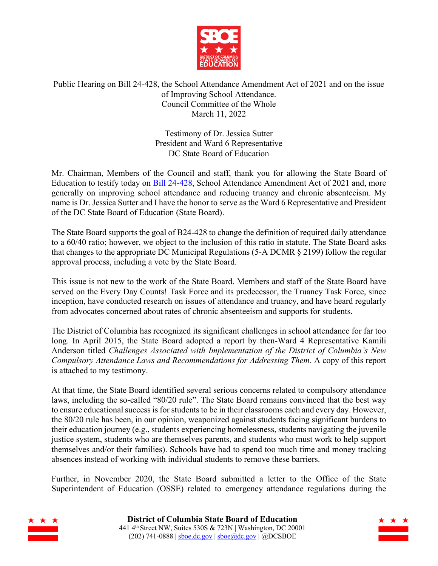

# Public Hearing on Bill 24-428, the School Attendance Amendment Act of 2021 and on the issue of Improving School Attendance. Council Committee of the Whole March 11, 2022

Testimony of Dr. Jessica Sutter President and Ward 6 Representative DC State Board of Education

Mr. Chairman, Members of the Council and staff, thank you for allowing the State Board of Education to testify today on **Bill 24-428**, School Attendance Amendment Act of 2021 and, more generally on improving school attendance and reducing truancy and chronic absenteeism. My name is Dr. Jessica Sutter and I have the honor to serve as the Ward 6 Representative and President of the DC State Board of Education (State Board).

The State Board supports the goal of B24-428 to change the definition of required daily attendance to a 60/40 ratio; however, we object to the inclusion of this ratio in statute. The State Board asks that changes to the appropriate DC Municipal Regulations (5-A DCMR § 2199) follow the regular approval process, including a vote by the State Board.

This issue is not new to the work of the State Board. Members and staff of the State Board have served on the Every Day Counts! Task Force and its predecessor, the Truancy Task Force, since inception, have conducted research on issues of attendance and truancy, and have heard regularly from advocates concerned about rates of chronic absenteeism and supports for students.

The District of Columbia has recognized its significant challenges in school attendance for far too long. In April 2015, the State Board adopted a report by then-Ward 4 Representative Kamili Anderson titled *Challenges Associated with Implementation of the District of Columbia's New Compulsory Attendance Laws and Recommendations for Addressing Them.* A copy of this report is attached to my testimony.

At that time, the State Board identified several serious concerns related to compulsory attendance laws, including the so-called "80/20 rule". The State Board remains convinced that the best way to ensure educational success is for students to be in their classrooms each and every day. However, the 80/20 rule has been, in our opinion, weaponized against students facing significant burdens to their education journey (e.g., students experiencing homelessness, students navigating the juvenile justice system, students who are themselves parents, and students who must work to help support themselves and/or their families). Schools have had to spend too much time and money tracking absences instead of working with individual students to remove these barriers.

Further, in November 2020, the State Board submitted a letter to the Office of the State Superintendent of Education (OSSE) related to emergency attendance regulations during the



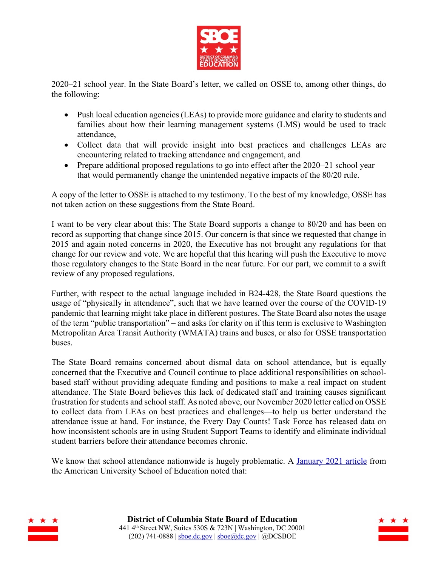

2020–21 school year. In the State Board's letter, we called on OSSE to, among other things, do the following:

- Push local education agencies (LEAs) to provide more guidance and clarity to students and families about how their learning management systems (LMS) would be used to track attendance,
- Collect data that will provide insight into best practices and challenges LEAs are encountering related to tracking attendance and engagement, and
- Prepare additional proposed regulations to go into effect after the 2020–21 school year that would permanently change the unintended negative impacts of the 80/20 rule.

A copy of the letter to OSSE is attached to my testimony. To the best of my knowledge, OSSE has not taken action on these suggestions from the State Board.

I want to be very clear about this: The State Board supports a change to 80/20 and has been on record as supporting that change since 2015. Our concern is that since we requested that change in 2015 and again noted concerns in 2020, the Executive has not brought any regulations for that change for our review and vote. We are hopeful that this hearing will push the Executive to move those regulatory changes to the State Board in the near future. For our part, we commit to a swift review of any proposed regulations.

Further, with respect to the actual language included in B24-428, the State Board questions the usage of "physically in attendance", such that we have learned over the course of the COVID-19 pandemic that learning might take place in different postures. The State Board also notes the usage of the term "public transportation" – and asks for clarity on if this term is exclusive to Washington Metropolitan Area Transit Authority (WMATA) trains and buses, or also for OSSE transportation buses.

The State Board remains concerned about dismal data on school attendance, but is equally concerned that the Executive and Council continue to place additional responsibilities on schoolbased staff without providing adequate funding and positions to make a real impact on student attendance. The State Board believes this lack of dedicated staff and training causes significant frustration for students and school staff. As noted above, our November 2020 letter called on OSSE to collect data from LEAs on best practices and challenges—to help us better understand the attendance issue at hand. For instance, the Every Day Counts! Task Force has released data on how inconsistent schools are in using Student Support Teams to identify and eliminate individual student barriers before their attendance becomes chronic.

We know that school attendance nationwide is hugely problematic. A January 2021 article from the American University School of Education noted that:



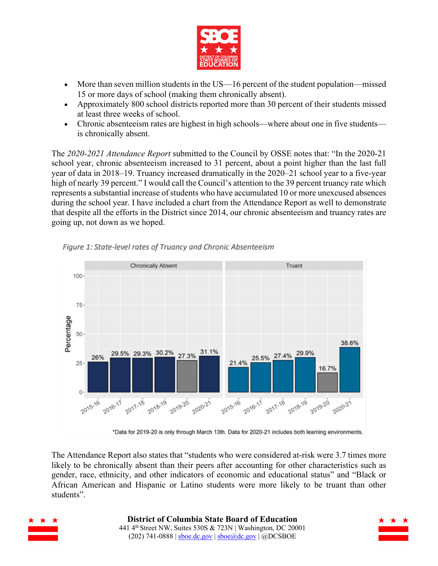

- More than seven million students in the US—16 percent of the student population—missed 15 or more days of school (making them chronically absent).
- Approximately 800 school districts reported more than 30 percent of their students missed at least three weeks of school.
- Chronic absenteeism rates are highest in high schools—where about one in five students is chronically absent.

The *2020-2021 Attendance Report* submitted to the Council by OSSE notes that: "In the 2020-21 school year, chronic absenteeism increased to 31 percent, about a point higher than the last full year of data in 2018–19. Truancy increased dramatically in the 2020–21 school year to a five-year high of nearly 39 percent." I would call the Council's attention to the 39 percent truancy rate which represents a substantial increase of students who have accumulated 10 or more unexcused absences during the school year. I have included a chart from the Attendance Report as well to demonstrate that despite all the efforts in the District since 2014, our chronic absenteeism and truancy rates are going up, not down as we hoped.



Figure 1: State-level rates of Truancy and Chronic Absenteeism

The Attendance Report also states that "students who were considered at-risk were 3.7 times more likely to be chronically absent than their peers after accounting for other characteristics such as gender, race, ethnicity, and other indicators of economic and educational status" and "Black or African American and Hispanic or Latino students were more likely to be truant than other students".



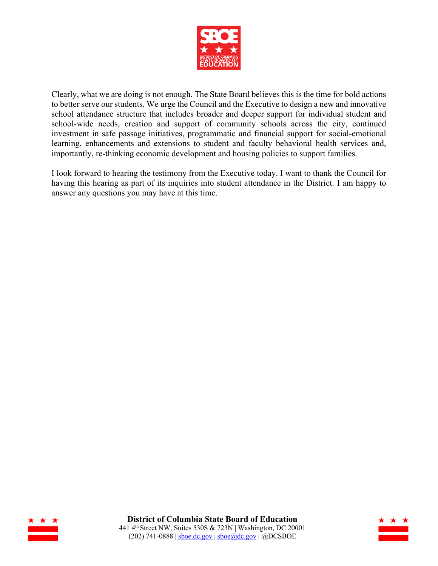

Clearly, what we are doing is not enough. The State Board believes this is the time for bold actions to better serve our students. We urge the Council and the Executive to design a new and innovative school attendance structure that includes broader and deeper support for individual student and school-wide needs, creation and support of community schools across the city, continued investment in safe passage initiatives, programmatic and financial support for social-emotional learning, enhancements and extensions to student and faculty behavioral health services and, importantly, re-thinking economic development and housing policies to support families.

I look forward to hearing the testimony from the Executive today. I want to thank the Council for having this hearing as part of its inquiries into student attendance in the District. I am happy to answer any questions you may have at this time.



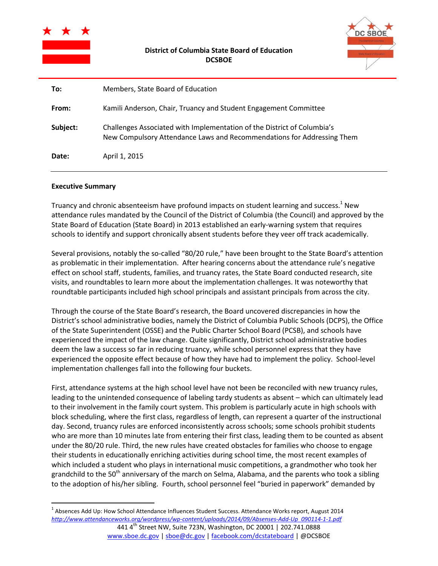

| <b>C SBOE</b> |
|---------------|
|               |
|               |

| To:      | Members, State Board of Education                                                                                                                 |
|----------|---------------------------------------------------------------------------------------------------------------------------------------------------|
| From:    | Kamili Anderson, Chair, Truancy and Student Engagement Committee                                                                                  |
| Subject: | Challenges Associated with Implementation of the District of Columbia's<br>New Compulsory Attendance Laws and Recommendations for Addressing Them |
| Date:    | April 1, 2015                                                                                                                                     |

#### **Executive Summary**

 $\overline{a}$ 

Truancy and chronic absenteeism have profound impacts on student learning and success.<sup>1</sup> New attendance rules mandated by the Council of the District of Columbia (the Council) and approved by the State Board of Education (State Board) in 2013 established an early-warning system that requires schools to identify and support chronically absent students before they veer off track academically.

Several provisions, notably the so-called "80/20 rule," have been brought to the State Board's attention as problematic in their implementation. After hearing concerns about the attendance rule's negative effect on school staff, students, families, and truancy rates, the State Board conducted research, site visits, and roundtables to learn more about the implementation challenges. It was noteworthy that roundtable participants included high school principals and assistant principals from across the city.

Through the course of the State Board's research, the Board uncovered discrepancies in how the District's school administrative bodies, namely the District of Columbia Public Schools (DCPS), the Office of the State Superintendent (OSSE) and the Public Charter School Board (PCSB), and schools have experienced the impact of the law change. Quite significantly, District school administrative bodies deem the law a success so far in reducing truancy, while school personnel express that they have experienced the opposite effect because of how they have had to implement the policy. School-level implementation challenges fall into the following four buckets.

First, attendance systems at the high school level have not been be reconciled with new truancy rules, leading to the unintended consequence of labeling tardy students as absent – which can ultimately lead to their involvement in the family court system. This problem is particularly acute in high schools with block scheduling, where the first class, regardless of length, can represent a quarter of the instructional day. Second, truancy rules are enforced inconsistently across schools; some schools prohibit students who are more than 10 minutes late from entering their first class, leading them to be counted as absent under the 80/20 rule. Third, the new rules have created obstacles for families who choose to engage their students in educationally enriching activities during school time, the most recent examples of which included a student who plays in international music competitions, a grandmother who took her grandchild to the 50<sup>th</sup> anniversary of the march on Selma, Alabama, and the parents who took a sibling to the adoption of his/her sibling. Fourth, school personnel feel "buried in paperwork" demanded by

<sup>441 4</sup>th Street NW, Suite 723N, Washington, DC 20001 | 202.741.0888 <sup>1</sup> Absences Add Up: How School Attendance Influences Student Success. Attendance Works report, August 2014 *[http://www.attendanceworks.org/wordpress/wp-content/uploads/2014/09/Absenses-Add-Up\\_090114-1-1.pdf](http://www.attendanceworks.org/wordpress/wp-content/uploads/2014/09/Absenses-Add-Up_090114-1-1.pdf)*

www.sboe.dc.gov | sboe@dc.gov | facebook.com/dcstateboard | @DCSBOE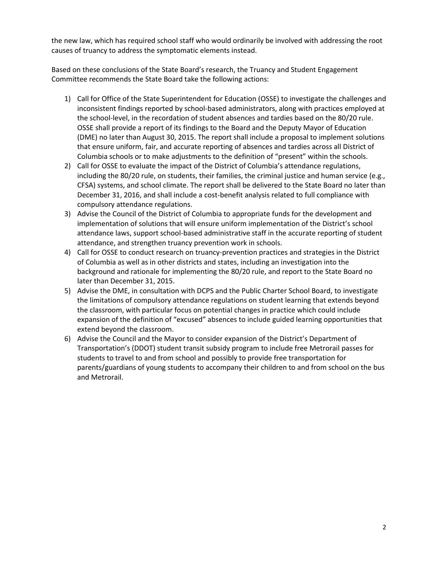the new law, which has required school staff who would ordinarily be involved with addressing the root causes of truancy to address the symptomatic elements instead.

Based on these conclusions of the State Board's research, the Truancy and Student Engagement Committee recommends the State Board take the following actions:

- 1) Call for Office of the State Superintendent for Education (OSSE) to investigate the challenges and inconsistent findings reported by school-based administrators, along with practices employed at the school-level, in the recordation of student absences and tardies based on the 80/20 rule. OSSE shall provide a report of its findings to the Board and the Deputy Mayor of Education (DME) no later than August 30, 2015. The report shall include a proposal to implement solutions that ensure uniform, fair, and accurate reporting of absences and tardies across all District of Columbia schools or to make adjustments to the definition of "present" within the schools.
- 2) Call for OSSE to evaluate the impact of the District of Columbia's attendance regulations, including the 80/20 rule, on students, their families, the criminal justice and human service (e.g., CFSA) systems, and school climate. The report shall be delivered to the State Board no later than December 31, 2016, and shall include a cost-benefit analysis related to full compliance with compulsory attendance regulations.
- 3) Advise the Council of the District of Columbia to appropriate funds for the development and implementation of solutions that will ensure uniform implementation of the District's school attendance laws, support school-based administrative staff in the accurate reporting of student attendance, and strengthen truancy prevention work in schools.
- 4) Call for OSSE to conduct research on truancy-prevention practices and strategies in the District of Columbia as well as in other districts and states, including an investigation into the background and rationale for implementing the 80/20 rule, and report to the State Board no later than December 31, 2015.
- 5) Advise the DME, in consultation with DCPS and the Public Charter School Board, to investigate the limitations of compulsory attendance regulations on student learning that extends beyond the classroom, with particular focus on potential changes in practice which could include expansion of the definition of "excused" absences to include guided learning opportunities that extend beyond the classroom.
- 6) Advise the Council and the Mayor to consider expansion of the District's Department of Transportation's (DDOT) student transit subsidy program to include free Metrorail passes for students to travel to and from school and possibly to provide free transportation for parents/guardians of young students to accompany their children to and from school on the bus and Metrorail.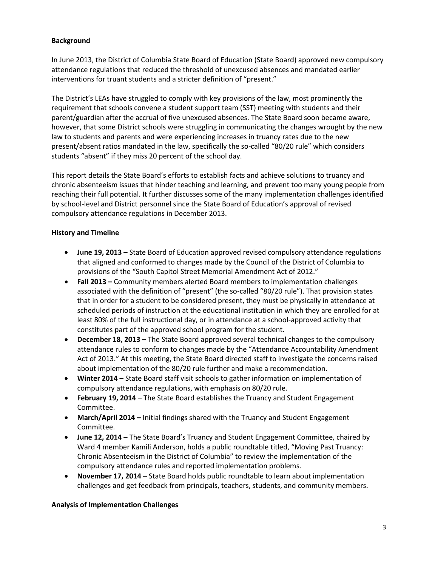# **Background**

In June 2013, the District of Columbia State Board of Education (State Board) approved new compulsory attendance regulations that reduced the threshold of unexcused absences and mandated earlier interventions for truant students and a stricter definition of "present."

The District's LEAs have struggled to comply with key provisions of the law, most prominently the requirement that schools convene a student support team (SST) meeting with students and their parent/guardian after the accrual of five unexcused absences. The State Board soon became aware, however, that some District schools were struggling in communicating the changes wrought by the new law to students and parents and were experiencing increases in truancy rates due to the new present/absent ratios mandated in the law, specifically the so-called "80/20 rule" which considers students "absent" if they miss 20 percent of the school day.

This report details the State Board's efforts to establish facts and achieve solutions to truancy and chronic absenteeism issues that hinder teaching and learning, and prevent too many young people from reaching their full potential. It further discusses some of the many implementation challenges identified by school-level and District personnel since the State Board of Education's approval of revised compulsory attendance regulations in December 2013.

## **History and Timeline**

- **June 19, 2013 –** State Board of Education approved revised compulsory attendance regulations that aligned and conformed to changes made by the Council of the District of Columbia to provisions of the "South Capitol Street Memorial Amendment Act of 2012."
- **Fall 2013 –** Community members alerted Board members to implementation challenges associated with the definition of "present" (the so-called "80/20 rule"). That provision states that in order for a student to be considered present, they must be physically in attendance at scheduled periods of instruction at the educational institution in which they are enrolled for at least 80% of the full instructional day, or in attendance at a school-approved activity that constitutes part of the approved school program for the student.
- **December 18, 2013 –** The State Board approved several technical changes to the compulsory attendance rules to conform to changes made by the "Attendance Accountability Amendment Act of 2013." At this meeting, the State Board directed staff to investigate the concerns raised about implementation of the 80/20 rule further and make a recommendation.
- **Winter 2014 –** State Board staff visit schools to gather information on implementation of compulsory attendance regulations, with emphasis on 80/20 rule.
- **February 19, 2014** The State Board establishes the Truancy and Student Engagement Committee.
- **March/April 2014 –** Initial findings shared with the Truancy and Student Engagement Committee.
- **June 12, 2014** The State Board's Truancy and Student Engagement Committee, chaired by Ward 4 member Kamili Anderson, holds a public roundtable titled, "Moving Past Truancy: Chronic Absenteeism in the District of Columbia" to review the implementation of the compulsory attendance rules and reported implementation problems.
- **November 17, 2014 –** State Board holds public roundtable to learn about implementation challenges and get feedback from principals, teachers, students, and community members.

### **Analysis of Implementation Challenges**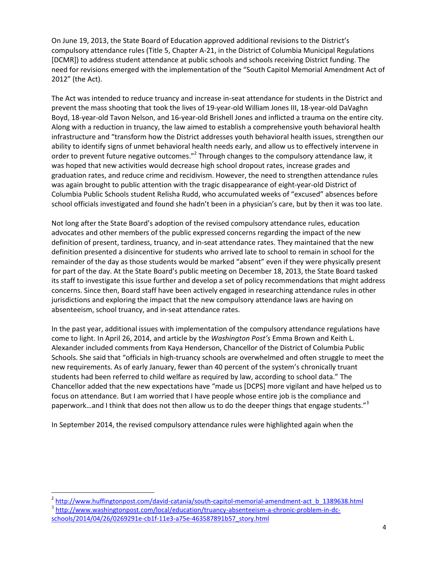On June 19, 2013, the State Board of Education approved additional revisions to the District's compulsory attendance rules (Title 5, Chapter A-21, in the District of Columbia Municipal Regulations [DCMR]) to address student attendance at public schools and schools receiving District funding. The need for revisions emerged with the implementation of the "South Capitol Memorial Amendment Act of 2012" (the Act).

The Act was intended to reduce truancy and increase in-seat attendance for students in the District and prevent the mass shooting that took the lives of 19-year-old William Jones III, 18-year-old DaVaghn Boyd, 18-year-old Tavon Nelson, and 16-year-old Brishell Jones and inflicted a trauma on the entire city. Along with a reduction in truancy, the law aimed to establish a comprehensive youth behavioral health infrastructure and "transform how the District addresses youth behavioral health issues, strengthen our ability to identify signs of unmet behavioral health needs early, and allow us to effectively intervene in order to prevent future negative outcomes."<sup>2</sup> Through changes to the compulsory attendance law, it was hoped that new activities would decrease high school dropout rates, increase grades and graduation rates, and reduce crime and recidivism. However, the need to strengthen attendance rules was again brought to public attention with the tragic disappearance of eight-year-old District of Columbia Public Schools student Relisha Rudd, who accumulated weeks of "excused" absences before school officials investigated and found she hadn't been in a physician's care, but by then it was too late.

Not long after the State Board's adoption of the revised compulsory attendance rules, education advocates and other members of the public expressed concerns regarding the impact of the new definition of present, tardiness, truancy, and in-seat attendance rates. They maintained that the new definition presented a disincentive for students who arrived late to school to remain in school for the remainder of the day as those students would be marked "absent" even if they were physically present for part of the day. At the State Board's public meeting on December 18, 2013, the State Board tasked its staff to investigate this issue further and develop a set of policy recommendations that might address concerns. Since then, Board staff have been actively engaged in researching attendance rules in other jurisdictions and exploring the impact that the new compulsory attendance laws are having on absenteeism, school truancy, and in-seat attendance rates.

In the past year, additional issues with implementation of the compulsory attendance regulations have come to light. In April 26, 2014, and article by the *Washington Post's* Emma Brown and Keith L. Alexander included comments from Kaya Henderson, Chancellor of the District of Columbia Public Schools. She said that "officials in high-truancy schools are overwhelmed and often struggle to meet the new requirements. As of early January, fewer than 40 percent of the system's chronically truant students had been referred to child welfare as required by law, according to school data." The Chancellor added that the new expectations have "made us [DCPS] more vigilant and have helped us to focus on attendance. But I am worried that I have people whose entire job is the compliance and paperwork…and I think that does not then allow us to do the deeper things that engage students."<sup>3</sup>

In September 2014, the revised compulsory attendance rules were highlighted again when the

 2 [http://www.huffingtonpost.com/david-catania/south-capitol-memorial-amendment-act\\_b\\_1389638.html](http://www.huffingtonpost.com/david-catania/south-capitol-memorial-amendment-act_b_1389638.html)

<sup>&</sup>lt;sup>3</sup> [http://www.washingtonpost.com/local/education/truancy-absenteeism-a-chronic-problem-in-dc](http://www.washingtonpost.com/local/education/truancy-absenteeism-a-chronic-problem-in-dc-schools/2014/04/26/0269291e-cb1f-11e3-a75e-463587891b57_story.html)[schools/2014/04/26/0269291e-cb1f-11e3-a75e-463587891b57\\_story.html](http://www.washingtonpost.com/local/education/truancy-absenteeism-a-chronic-problem-in-dc-schools/2014/04/26/0269291e-cb1f-11e3-a75e-463587891b57_story.html)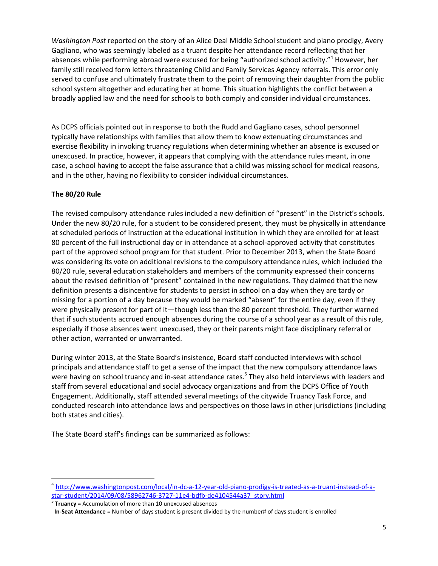*Washington Post* reported on the story of an Alice Deal Middle School student and piano prodigy, Avery Gagliano, who was seemingly labeled as a truant despite her attendance record reflecting that her absences while performing abroad were excused for being "authorized school activity."<sup>4</sup> However, her family still received form letters threatening Child and Family Services Agency referrals. This error only served to confuse and ultimately frustrate them to the point of removing their daughter from the public school system altogether and educating her at home. This situation highlights the conflict between a broadly applied law and the need for schools to both comply and consider individual circumstances.

As DCPS officials pointed out in response to both the Rudd and Gagliano cases, school personnel typically have relationships with families that allow them to know extenuating circumstances and exercise flexibility in invoking truancy regulations when determining whether an absence is excused or unexcused. In practice, however, it appears that complying with the attendance rules meant, in one case, a school having to accept the false assurance that a child was missing school for medical reasons, and in the other, having no flexibility to consider individual circumstances.

# **The 80/20 Rule**

 $\overline{a}$ 

The revised compulsory attendance rules included a new definition of "present" in the District's schools. Under the new 80/20 rule, for a student to be considered present, they must be physically in attendance at scheduled periods of instruction at the educational institution in which they are enrolled for at least 80 percent of the full instructional day or in attendance at a school-approved activity that constitutes part of the approved school program for that student. Prior to December 2013, when the State Board was considering its vote on additional revisions to the compulsory attendance rules, which included the 80/20 rule, several education stakeholders and members of the community expressed their concerns about the revised definition of "present" contained in the new regulations. They claimed that the new definition presents a disincentive for students to persist in school on a day when they are tardy or missing for a portion of a day because they would be marked "absent" for the entire day, even if they were physically present for part of it—though less than the 80 percent threshold. They further warned that if such students accrued enough absences during the course of a school year as a result of this rule, especially if those absences went unexcused, they or their parents might face disciplinary referral or other action, warranted or unwarranted.

During winter 2013, at the State Board's insistence, Board staff conducted interviews with school principals and attendance staff to get a sense of the impact that the new compulsory attendance laws were having on school truancy and in-seat attendance rates.<sup>5</sup> They also held interviews with leaders and staff from several educational and social advocacy organizations and from the DCPS Office of Youth Engagement. Additionally, staff attended several meetings of the citywide Truancy Task Force, and conducted research into attendance laws and perspectives on those laws in other jurisdictions (including both states and cities).

The State Board staff's findings can be summarized as follows:

5 **Truancy** = Accumulation of more than 10 unexcused absences

<sup>&</sup>lt;sup>4</sup> [http://www.washingtonpost.com/local/in-dc-a-12-year-old-piano-prodigy-is-treated-as-a-truant-instead-of-a](http://www.washingtonpost.com/local/in-dc-a-12-year-old-piano-prodigy-is-treated-as-a-truant-instead-of-a-star-student/2014/09/08/58962746-3727-11e4-bdfb-de4104544a37_story.html)[star-student/2014/09/08/58962746-3727-11e4-bdfb-de4104544a37\\_story.html](http://www.washingtonpost.com/local/in-dc-a-12-year-old-piano-prodigy-is-treated-as-a-truant-instead-of-a-star-student/2014/09/08/58962746-3727-11e4-bdfb-de4104544a37_story.html)

**In-Seat Attendance** = Number of days student is present divided by the number# of days student is enrolled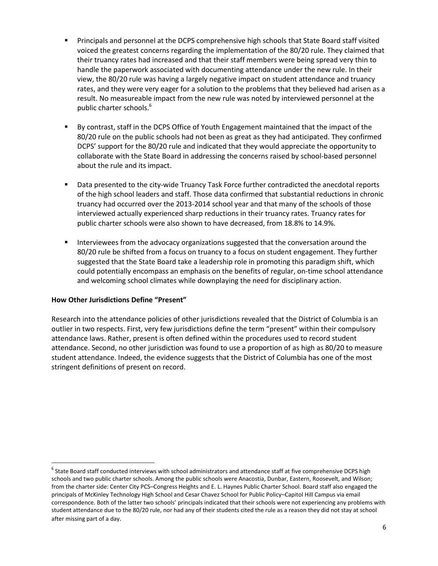- Principals and personnel at the DCPS comprehensive high schools that State Board staff visited voiced the greatest concerns regarding the implementation of the 80/20 rule. They claimed that their truancy rates had increased and that their staff members were being spread very thin to handle the paperwork associated with documenting attendance under the new rule. In their view, the 80/20 rule was having a largely negative impact on student attendance and truancy rates, and they were very eager for a solution to the problems that they believed had arisen as a result. No measureable impact from the new rule was noted by interviewed personnel at the public charter schools.<sup>6</sup>
- By contrast, staff in the DCPS Office of Youth Engagement maintained that the impact of the 80/20 rule on the public schools had not been as great as they had anticipated. They confirmed DCPS' support for the 80/20 rule and indicated that they would appreciate the opportunity to collaborate with the State Board in addressing the concerns raised by school-based personnel about the rule and its impact.
- Data presented to the city-wide Truancy Task Force further contradicted the anecdotal reports of the high school leaders and staff. Those data confirmed that substantial reductions in chronic truancy had occurred over the 2013-2014 school year and that many of the schools of those interviewed actually experienced sharp reductions in their truancy rates. Truancy rates for public charter schools were also shown to have decreased, from 18.8% to 14.9%.
- Interviewees from the advocacy organizations suggested that the conversation around the 80/20 rule be shifted from a focus on truancy to a focus on student engagement. They further suggested that the State Board take a leadership role in promoting this paradigm shift, which could potentially encompass an emphasis on the benefits of regular, on-time school attendance and welcoming school climates while downplaying the need for disciplinary action.

### **How Other Jurisdictions Define "Present"**

 $\overline{a}$ 

Research into the attendance policies of other jurisdictions revealed that the District of Columbia is an outlier in two respects. First, very few jurisdictions define the term "present" within their compulsory attendance laws. Rather, present is often defined within the procedures used to record student attendance. Second, no other jurisdiction was found to use a proportion of as high as 80/20 to measure student attendance. Indeed, the evidence suggests that the District of Columbia has one of the most stringent definitions of present on record.

 $^6$  State Board staff conducted interviews with school administrators and attendance staff at five comprehensive DCPS high schools and two public charter schools. Among the public schools were Anacostia, Dunbar, Eastern, Roosevelt, and Wilson; from the charter side: Center City PCS–Congress Heights and E. L. Haynes Public Charter School. Board staff also engaged the principals of McKinley Technology High School and Cesar Chavez School for Public Policy–Capitol Hill Campus via email correspondence. Both of the latter two schools' principals indicated that their schools were not experiencing any problems with student attendance due to the 80/20 rule, nor had any of their students cited the rule as a reason they did not stay at school after missing part of a day.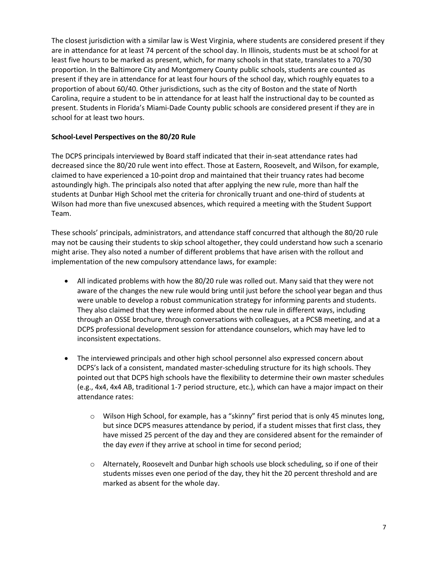The closest jurisdiction with a similar law is West Virginia, where students are considered present if they are in attendance for at least 74 percent of the school day. In Illinois, students must be at school for at least five hours to be marked as present, which, for many schools in that state, translates to a 70/30 proportion. In the Baltimore City and Montgomery County public schools, students are counted as present if they are in attendance for at least four hours of the school day, which roughly equates to a proportion of about 60/40. Other jurisdictions, such as the city of Boston and the state of North Carolina, require a student to be in attendance for at least half the instructional day to be counted as present. Students in Florida's Miami-Dade County public schools are considered present if they are in school for at least two hours.

## **School-Level Perspectives on the 80/20 Rule**

The DCPS principals interviewed by Board staff indicated that their in-seat attendance rates had decreased since the 80/20 rule went into effect. Those at Eastern, Roosevelt, and Wilson, for example, claimed to have experienced a 10-point drop and maintained that their truancy rates had become astoundingly high. The principals also noted that after applying the new rule, more than half the students at Dunbar High School met the criteria for chronically truant and one-third of students at Wilson had more than five unexcused absences, which required a meeting with the Student Support Team.

These schools' principals, administrators, and attendance staff concurred that although the 80/20 rule may not be causing their students to skip school altogether, they could understand how such a scenario might arise. They also noted a number of different problems that have arisen with the rollout and implementation of the new compulsory attendance laws, for example:

- All indicated problems with how the 80/20 rule was rolled out. Many said that they were not aware of the changes the new rule would bring until just before the school year began and thus were unable to develop a robust communication strategy for informing parents and students. They also claimed that they were informed about the new rule in different ways, including through an OSSE brochure, through conversations with colleagues, at a PCSB meeting, and at a DCPS professional development session for attendance counselors, which may have led to inconsistent expectations.
- The interviewed principals and other high school personnel also expressed concern about DCPS's lack of a consistent, mandated master-scheduling structure for its high schools. They pointed out that DCPS high schools have the flexibility to determine their own master schedules (e.g., 4x4, 4x4 AB, traditional 1-7 period structure, etc.), which can have a major impact on their attendance rates:
	- o Wilson High School, for example, has a "skinny" first period that is only 45 minutes long, but since DCPS measures attendance by period, if a student misses that first class, they have missed 25 percent of the day and they are considered absent for the remainder of the day *even* if they arrive at school in time for second period;
	- o Alternately, Roosevelt and Dunbar high schools use block scheduling, so if one of their students misses even one period of the day, they hit the 20 percent threshold and are marked as absent for the whole day.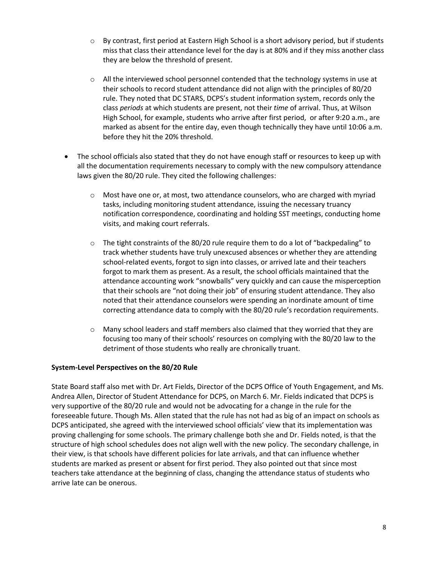- $\circ$  By contrast, first period at Eastern High School is a short advisory period, but if students miss that class their attendance level for the day is at 80% and if they miss another class they are below the threshold of present.
- $\circ$  All the interviewed school personnel contended that the technology systems in use at their schools to record student attendance did not align with the principles of 80/20 rule. They noted that DC STARS, DCPS's student information system, records only the class *periods* at which students are present, not their *time* of arrival. Thus, at Wilson High School, for example, students who arrive after first period, or after 9:20 a.m., are marked as absent for the entire day, even though technically they have until 10:06 a.m. before they hit the 20% threshold.
- The school officials also stated that they do not have enough staff or resources to keep up with all the documentation requirements necessary to comply with the new compulsory attendance laws given the 80/20 rule. They cited the following challenges:
	- $\circ$  Most have one or, at most, two attendance counselors, who are charged with myriad tasks, including monitoring student attendance, issuing the necessary truancy notification correspondence, coordinating and holding SST meetings, conducting home visits, and making court referrals.
	- $\circ$  The tight constraints of the 80/20 rule require them to do a lot of "backpedaling" to track whether students have truly unexcused absences or whether they are attending school-related events, forgot to sign into classes, or arrived late and their teachers forgot to mark them as present. As a result, the school officials maintained that the attendance accounting work "snowballs" very quickly and can cause the misperception that their schools are "not doing their job" of ensuring student attendance. They also noted that their attendance counselors were spending an inordinate amount of time correcting attendance data to comply with the 80/20 rule's recordation requirements.
	- $\circ$  Many school leaders and staff members also claimed that they worried that they are focusing too many of their schools' resources on complying with the 80/20 law to the detriment of those students who really are chronically truant.

### **System-Level Perspectives on the 80/20 Rule**

State Board staff also met with Dr. Art Fields, Director of the DCPS Office of Youth Engagement, and Ms. Andrea Allen, Director of Student Attendance for DCPS, on March 6. Mr. Fields indicated that DCPS is very supportive of the 80/20 rule and would not be advocating for a change in the rule for the foreseeable future. Though Ms. Allen stated that the rule has not had as big of an impact on schools as DCPS anticipated, she agreed with the interviewed school officials' view that its implementation was proving challenging for some schools. The primary challenge both she and Dr. Fields noted, is that the structure of high school schedules does not align well with the new policy. The secondary challenge, in their view, is that schools have different policies for late arrivals, and that can influence whether students are marked as present or absent for first period. They also pointed out that since most teachers take attendance at the beginning of class, changing the attendance status of students who arrive late can be onerous.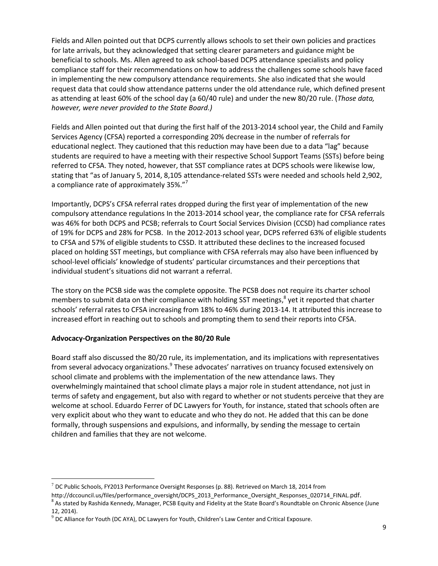Fields and Allen pointed out that DCPS currently allows schools to set their own policies and practices for late arrivals, but they acknowledged that setting clearer parameters and guidance might be beneficial to schools. Ms. Allen agreed to ask school-based DCPS attendance specialists and policy compliance staff for their recommendations on how to address the challenges some schools have faced in implementing the new compulsory attendance requirements. She also indicated that she would request data that could show attendance patterns under the old attendance rule, which defined present as attending at least 60% of the school day (a 60/40 rule) and under the new 80/20 rule. (*Those data, however, were never provided to the State Board.)*

Fields and Allen pointed out that during the first half of the 2013-2014 school year, the Child and Family Services Agency (CFSA) reported a corresponding 20% decrease in the number of referrals for educational neglect. They cautioned that this reduction may have been due to a data "lag" because students are required to have a meeting with their respective School Support Teams (SSTs) before being referred to CFSA. They noted, however, that SST compliance rates at DCPS schools were likewise low, stating that "as of January 5, 2014, 8,105 attendance-related SSTs were needed and schools held 2,902, a compliance rate of approximately 35%."

Importantly, DCPS's CFSA referral rates dropped during the first year of implementation of the new compulsory attendance regulations In the 2013-2014 school year, the compliance rate for CFSA referrals was 46% for both DCPS and PCSB; referrals to Court Social Services Division (CCSD) had compliance rates of 19% for DCPS and 28% for PCSB. In the 2012-2013 school year, DCPS referred 63% of eligible students to CFSA and 57% of eligible students to CSSD. It attributed these declines to the increased focused placed on holding SST meetings, but compliance with CFSA referrals may also have been influenced by school-level officials' knowledge of students' particular circumstances and their perceptions that individual student's situations did not warrant a referral.

The story on the PCSB side was the complete opposite. The PCSB does not require its charter school members to submit data on their compliance with holding SST meetings,<sup>8</sup> yet it reported that charter schools' referral rates to CFSA increasing from 18% to 46% during 2013-14. It attributed this increase to increased effort in reaching out to schools and prompting them to send their reports into CFSA.

# **Advocacy-Organization Perspectives on the 80/20 Rule**

 $\overline{a}$ 

Board staff also discussed the 80/20 rule, its implementation, and its implications with representatives from several advocacy organizations.<sup>9</sup> These advocates' narratives on truancy focused extensively on school climate and problems with the implementation of the new attendance laws. They overwhelmingly maintained that school climate plays a major role in student attendance, not just in terms of safety and engagement, but also with regard to whether or not students perceive that they are welcome at school. Eduardo Ferrer of DC Lawyers for Youth, for instance, stated that schools often are very explicit about who they want to educate and who they do not. He added that this can be done formally, through suspensions and expulsions, and informally, by sending the message to certain children and families that they are not welcome.

 $^7$  DC Public Schools, FY2013 Performance Oversight Responses (p. 88). Retrieved on March 18, 2014 from

http://dccouncil.us/files/performance\_oversight/DCPS\_2013\_Performance\_Oversight\_Responses\_020714\_FINAL.pdf. <sup>8</sup> As stated by Rashida Kennedy, Manager, PCSB Equity and Fidelity at the State Board's Roundtable on Chronic Absence (June 12, 2014).

 $9$  DC Alliance for Youth (DC AYA), DC Lawyers for Youth, Children's Law Center and Critical Exposure.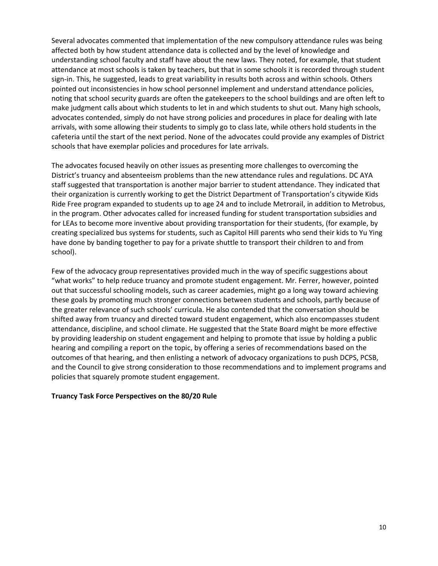Several advocates commented that implementation of the new compulsory attendance rules was being affected both by how student attendance data is collected and by the level of knowledge and understanding school faculty and staff have about the new laws. They noted, for example, that student attendance at most schools is taken by teachers, but that in some schools it is recorded through student sign-in. This, he suggested, leads to great variability in results both across and within schools. Others pointed out inconsistencies in how school personnel implement and understand attendance policies, noting that school security guards are often the gatekeepers to the school buildings and are often left to make judgment calls about which students to let in and which students to shut out. Many high schools, advocates contended, simply do not have strong policies and procedures in place for dealing with late arrivals, with some allowing their students to simply go to class late, while others hold students in the cafeteria until the start of the next period. None of the advocates could provide any examples of District schools that have exemplar policies and procedures for late arrivals.

The advocates focused heavily on other issues as presenting more challenges to overcoming the District's truancy and absenteeism problems than the new attendance rules and regulations. DC AYA staff suggested that transportation is another major barrier to student attendance. They indicated that their organization is currently working to get the District Department of Transportation's citywide Kids Ride Free program expanded to students up to age 24 and to include Metrorail, in addition to Metrobus, in the program. Other advocates called for increased funding for student transportation subsidies and for LEAs to become more inventive about providing transportation for their students, (for example, by creating specialized bus systems for students, such as Capitol Hill parents who send their kids to Yu Ying have done by banding together to pay for a private shuttle to transport their children to and from school).

Few of the advocacy group representatives provided much in the way of specific suggestions about "what works" to help reduce truancy and promote student engagement. Mr. Ferrer, however, pointed out that successful schooling models, such as career academies, might go a long way toward achieving these goals by promoting much stronger connections between students and schools, partly because of the greater relevance of such schools' curricula. He also contended that the conversation should be shifted away from truancy and directed toward student engagement, which also encompasses student attendance, discipline, and school climate. He suggested that the State Board might be more effective by providing leadership on student engagement and helping to promote that issue by holding a public hearing and compiling a report on the topic, by offering a series of recommendations based on the outcomes of that hearing, and then enlisting a network of advocacy organizations to push DCPS, PCSB, and the Council to give strong consideration to those recommendations and to implement programs and policies that squarely promote student engagement.

#### **Truancy Task Force Perspectives on the 80/20 Rule**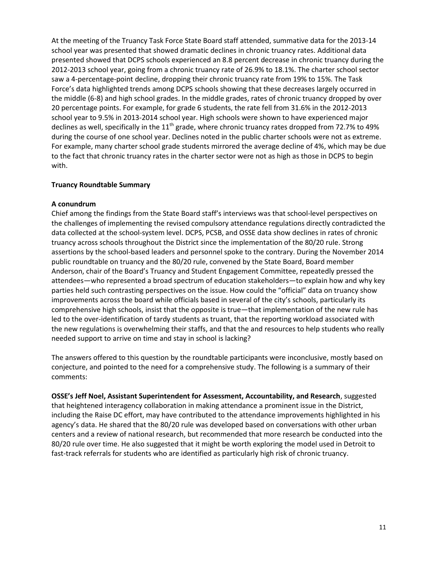At the meeting of the Truancy Task Force State Board staff attended, summative data for the 2013-14 school year was presented that showed dramatic declines in chronic truancy rates. Additional data presented showed that DCPS schools experienced an 8.8 percent decrease in chronic truancy during the 2012-2013 school year, going from a chronic truancy rate of 26.9% to 18.1%. The charter school sector saw a 4-percentage-point decline, dropping their chronic truancy rate from 19% to 15%. The Task Force's data highlighted trends among DCPS schools showing that these decreases largely occurred in the middle (6-8) and high school grades. In the middle grades, rates of chronic truancy dropped by over 20 percentage points. For example, for grade 6 students, the rate fell from 31.6% in the 2012-2013 school year to 9.5% in 2013-2014 school year. High schools were shown to have experienced major declines as well, specifically in the 11<sup>th</sup> grade, where chronic truancy rates dropped from 72.7% to 49% during the course of one school year. Declines noted in the public charter schools were not as extreme. For example, many charter school grade students mirrored the average decline of 4%, which may be due to the fact that chronic truancy rates in the charter sector were not as high as those in DCPS to begin with.

### **Truancy Roundtable Summary**

#### **A conundrum**

Chief among the findings from the State Board staff's interviews was that school-level perspectives on the challenges of implementing the revised compulsory attendance regulations directly contradicted the data collected at the school-system level. DCPS, PCSB, and OSSE data show declines in rates of chronic truancy across schools throughout the District since the implementation of the 80/20 rule. Strong assertions by the school-based leaders and personnel spoke to the contrary. During the November 2014 public roundtable on truancy and the 80/20 rule, convened by the State Board, Board member Anderson, chair of the Board's Truancy and Student Engagement Committee, repeatedly pressed the attendees—who represented a broad spectrum of education stakeholders—to explain how and why key parties held such contrasting perspectives on the issue. How could the "official" data on truancy show improvements across the board while officials based in several of the city's schools, particularly its comprehensive high schools, insist that the opposite is true—that implementation of the new rule has led to the over-identification of tardy students as truant, that the reporting workload associated with the new regulations is overwhelming their staffs, and that the and resources to help students who really needed support to arrive on time and stay in school is lacking?

The answers offered to this question by the roundtable participants were inconclusive, mostly based on conjecture, and pointed to the need for a comprehensive study. The following is a summary of their comments:

**OSSE's Jeff Noel, Assistant Superintendent for Assessment, Accountability, and Research**, suggested that heightened interagency collaboration in making attendance a prominent issue in the District, including the Raise DC effort, may have contributed to the attendance improvements highlighted in his agency's data. He shared that the 80/20 rule was developed based on conversations with other urban centers and a review of national research, but recommended that more research be conducted into the 80/20 rule over time. He also suggested that it might be worth exploring the model used in Detroit to fast-track referrals for students who are identified as particularly high risk of chronic truancy.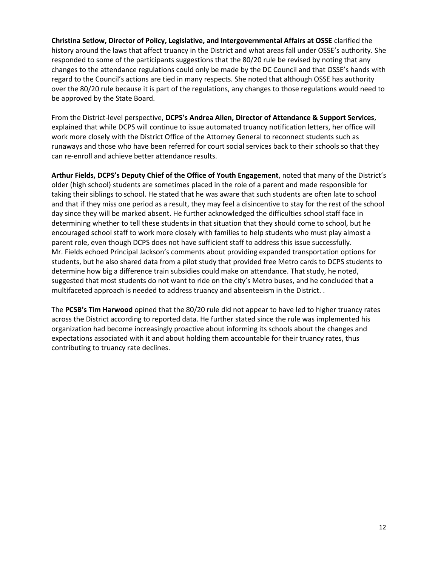**Christina Setlow, Director of Policy, Legislative, and Intergovernmental Affairs at OSSE** clarified the history around the laws that affect truancy in the District and what areas fall under OSSE's authority. She responded to some of the participants suggestions that the 80/20 rule be revised by noting that any changes to the attendance regulations could only be made by the DC Council and that OSSE's hands with regard to the Council's actions are tied in many respects. She noted that although OSSE has authority over the 80/20 rule because it is part of the regulations, any changes to those regulations would need to be approved by the State Board.

From the District-level perspective, **DCPS's Andrea Allen, Director of Attendance & Support Services**, explained that while DCPS will continue to issue automated truancy notification letters, her office will work more closely with the District Office of the Attorney General to reconnect students such as runaways and those who have been referred for court social services back to their schools so that they can re-enroll and achieve better attendance results.

**Arthur Fields, DCPS's Deputy Chief of the Office of Youth Engagement**, noted that many of the District's older (high school) students are sometimes placed in the role of a parent and made responsible for taking their siblings to school. He stated that he was aware that such students are often late to school and that if they miss one period as a result, they may feel a disincentive to stay for the rest of the school day since they will be marked absent. He further acknowledged the difficulties school staff face in determining whether to tell these students in that situation that they should come to school, but he encouraged school staff to work more closely with families to help students who must play almost a parent role, even though DCPS does not have sufficient staff to address this issue successfully. Mr. Fields echoed Principal Jackson's comments about providing expanded transportation options for students, but he also shared data from a pilot study that provided free Metro cards to DCPS students to determine how big a difference train subsidies could make on attendance. That study, he noted, suggested that most students do not want to ride on the city's Metro buses, and he concluded that a multifaceted approach is needed to address truancy and absenteeism in the District. .

The **PCSB's Tim Harwood** opined that the 80/20 rule did not appear to have led to higher truancy rates across the District according to reported data. He further stated since the rule was implemented his organization had become increasingly proactive about informing its schools about the changes and expectations associated with it and about holding them accountable for their truancy rates, thus contributing to truancy rate declines.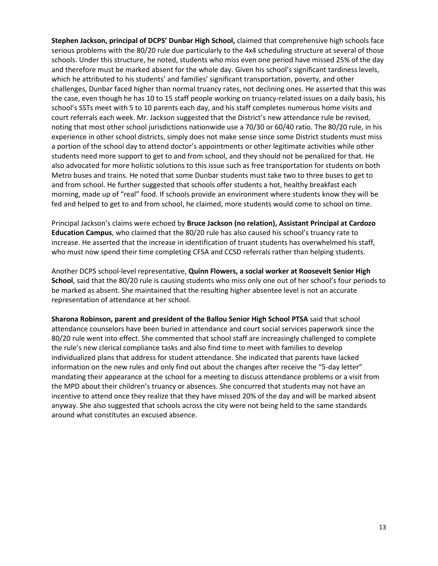**Stephen Jackson, principal of DCPS' Dunbar High School,** claimed that comprehensive high schools face serious problems with the 80/20 rule due particularly to the 4x4 scheduling structure at several of those schools. Under this structure, he noted, students who miss even one period have missed 25% of the day and therefore must be marked absent for the whole day. Given his school's significant tardiness levels, which he attributed to his students' and families' significant transportation, poverty, and other challenges, Dunbar faced higher than normal truancy rates, not declining ones. He asserted that this was the case, even though he has 10 to 15 staff people working on truancy-related issues on a daily basis, his school's SSTs meet with 5 to 10 parents each day, and his staff completes numerous home visits and court referrals each week. Mr. Jackson suggested that the District's new attendance rule be revised, noting that most other school jurisdictions nationwide use a 70/30 or 60/40 ratio. The 80/20 rule, in his experience in other school districts, simply does not make sense since some District students must miss a portion of the school day to attend doctor's appointments or other legitimate activities while other students need more support to get to and from school, and they should not be penalized for that. He also advocated for more holistic solutions to this issue such as free transportation for students on both Metro buses and trains. He noted that some Dunbar students must take two to three buses to get to and from school. He further suggested that schools offer students a hot, healthy breakfast each morning, made up of "real" food. If schools provide an environment where students know they will be fed and helped to get to and from school, he claimed, more students would come to school on time.

Principal Jackson's claims were echoed by **Bruce Jackson (no relation), Assistant Principal at Cardozo Education Campus**, who claimed that the 80/20 rule has also caused his school's truancy rate to increase. He asserted that the increase in identification of truant students has overwhelmed his staff, who must now spend their time completing CFSA and CCSD referrals rather than helping students.

Another DCPS school-level representative, **Quinn Flowers, a social worker at Roosevelt Senior High School**, said that the 80/20 rule is causing students who miss only one out of her school's four periods to be marked as absent. She maintained that the resulting higher absentee level is not an accurate representation of attendance at her school.

**Sharona Robinson, parent and president of the Ballou Senior High School PTSA** said that school attendance counselors have been buried in attendance and court social services paperwork since the 80/20 rule went into effect. She commented that school staff are increasingly challenged to complete the rule's new clerical compliance tasks and also find time to meet with families to develop individualized plans that address for student attendance. She indicated that parents have lacked information on the new rules and only find out about the changes after receive the "5-day letter" mandating their appearance at the school for a meeting to discuss attendance problems or a visit from the MPD about their children's truancy or absences. She concurred that students may not have an incentive to attend once they realize that they have missed 20% of the day and will be marked absent anyway. She also suggested that schools across the city were not being held to the same standards around what constitutes an excused absence.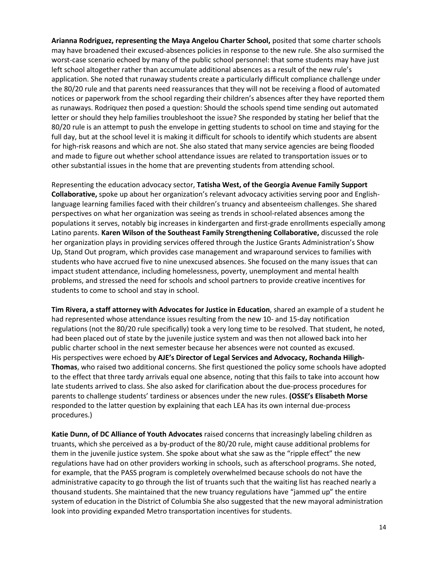**Arianna Rodriguez, representing the Maya Angelou Charter School,** posited that some charter schools may have broadened their excused-absences policies in response to the new rule. She also surmised the worst-case scenario echoed by many of the public school personnel: that some students may have just left school altogether rather than accumulate additional absences as a result of the new rule's application. She noted that runaway students create a particularly difficult compliance challenge under the 80/20 rule and that parents need reassurances that they will not be receiving a flood of automated notices or paperwork from the school regarding their children's absences after they have reported them as runaways. Rodriquez then posed a question: Should the schools spend time sending out automated letter or should they help families troubleshoot the issue? She responded by stating her belief that the 80/20 rule is an attempt to push the envelope in getting students to school on time and staying for the full day, but at the school level it is making it difficult for schools to identify which students are absent for high-risk reasons and which are not. She also stated that many service agencies are being flooded and made to figure out whether school attendance issues are related to transportation issues or to other substantial issues in the home that are preventing students from attending school.

Representing the education advocacy sector, **Tatisha West, of the Georgia Avenue Family Support Collaborative,** spoke up about her organization's relevant advocacy activities serving poor and Englishlanguage learning families faced with their children's truancy and absenteeism challenges. She shared perspectives on what her organization was seeing as trends in school-related absences among the populations it serves, notably big increases in kindergarten and first-grade enrollments especially among Latino parents. **Karen Wilson of the Southeast Family Strengthening Collaborative,** discussed the role her organization plays in providing services offered through the Justice Grants Administration's Show Up, Stand Out program, which provides case management and wraparound services to families with students who have accrued five to nine unexcused absences. She focused on the many issues that can impact student attendance, including homelessness, poverty, unemployment and mental health problems, and stressed the need for schools and school partners to provide creative incentives for students to come to school and stay in school.

**Tim Rivera, a staff attorney with Advocates for Justice in Education**, shared an example of a student he had represented whose attendance issues resulting from the new 10- and 15-day notification regulations (not the 80/20 rule specifically) took a very long time to be resolved. That student, he noted, had been placed out of state by the juvenile justice system and was then not allowed back into her public charter school in the next semester because her absences were not counted as excused. His perspectives were echoed by **AJE's Director of Legal Services and Advocacy, Rochanda Hiligh-Thomas**, who raised two additional concerns. She first questioned the policy some schools have adopted to the effect that three tardy arrivals equal one absence, noting that this fails to take into account how late students arrived to class. She also asked for clarification about the due-process procedures for parents to challenge students' tardiness or absences under the new rules. **(OSSE's Elisabeth Morse** responded to the latter question by explaining that each LEA has its own internal due-process procedures.)

**Katie Dunn, of DC Alliance of Youth Advocates** raised concerns that increasingly labeling children as truants, which she perceived as a by-product of the 80/20 rule, might cause additional problems for them in the juvenile justice system. She spoke about what she saw as the "ripple effect" the new regulations have had on other providers working in schools, such as afterschool programs. She noted, for example, that the PASS program is completely overwhelmed because schools do not have the administrative capacity to go through the list of truants such that the waiting list has reached nearly a thousand students. She maintained that the new truancy regulations have "jammed up" the entire system of education in the District of Columbia She also suggested that the new mayoral administration look into providing expanded Metro transportation incentives for students.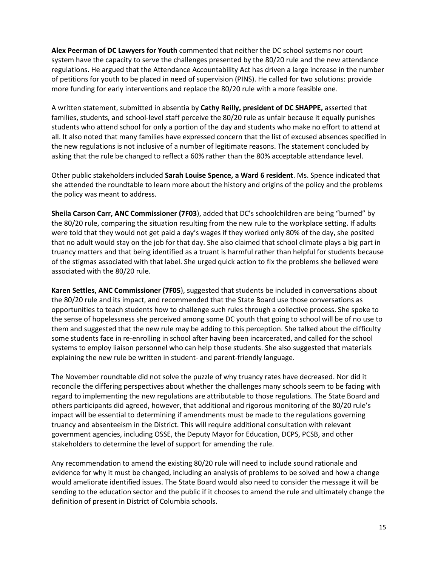**Alex Peerman of DC Lawyers for Youth** commented that neither the DC school systems nor court system have the capacity to serve the challenges presented by the 80/20 rule and the new attendance regulations. He argued that the Attendance Accountability Act has driven a large increase in the number of petitions for youth to be placed in need of supervision (PINS). He called for two solutions: provide more funding for early interventions and replace the 80/20 rule with a more feasible one.

A written statement, submitted in absentia by **Cathy Reilly, president of DC SHAPPE,** asserted that families, students, and school-level staff perceive the 80/20 rule as unfair because it equally punishes students who attend school for only a portion of the day and students who make no effort to attend at all. It also noted that many families have expressed concern that the list of excused absences specified in the new regulations is not inclusive of a number of legitimate reasons. The statement concluded by asking that the rule be changed to reflect a 60% rather than the 80% acceptable attendance level.

Other public stakeholders included **Sarah Louise Spence, a Ward 6 resident**. Ms. Spence indicated that she attended the roundtable to learn more about the history and origins of the policy and the problems the policy was meant to address.

**Sheila Carson Carr, ANC Commissioner (7F03**), added that DC's schoolchildren are being "burned" by the 80/20 rule, comparing the situation resulting from the new rule to the workplace setting. If adults were told that they would not get paid a day's wages if they worked only 80% of the day, she posited that no adult would stay on the job for that day. She also claimed that school climate plays a big part in truancy matters and that being identified as a truant is harmful rather than helpful for students because of the stigmas associated with that label. She urged quick action to fix the problems she believed were associated with the 80/20 rule.

**Karen Settles, ANC Commissioner (7F05**), suggested that students be included in conversations about the 80/20 rule and its impact, and recommended that the State Board use those conversations as opportunities to teach students how to challenge such rules through a collective process. She spoke to the sense of hopelessness she perceived among some DC youth that going to school will be of no use to them and suggested that the new rule may be adding to this perception. She talked about the difficulty some students face in re-enrolling in school after having been incarcerated, and called for the school systems to employ liaison personnel who can help those students. She also suggested that materials explaining the new rule be written in student- and parent-friendly language.

The November roundtable did not solve the puzzle of why truancy rates have decreased. Nor did it reconcile the differing perspectives about whether the challenges many schools seem to be facing with regard to implementing the new regulations are attributable to those regulations. The State Board and others participants did agreed, however, that additional and rigorous monitoring of the 80/20 rule's impact will be essential to determining if amendments must be made to the regulations governing truancy and absenteeism in the District. This will require additional consultation with relevant government agencies, including OSSE, the Deputy Mayor for Education, DCPS, PCSB, and other stakeholders to determine the level of support for amending the rule.

Any recommendation to amend the existing 80/20 rule will need to include sound rationale and evidence for why it must be changed, including an analysis of problems to be solved and how a change would ameliorate identified issues. The State Board would also need to consider the message it will be sending to the education sector and the public if it chooses to amend the rule and ultimately change the definition of present in District of Columbia schools.